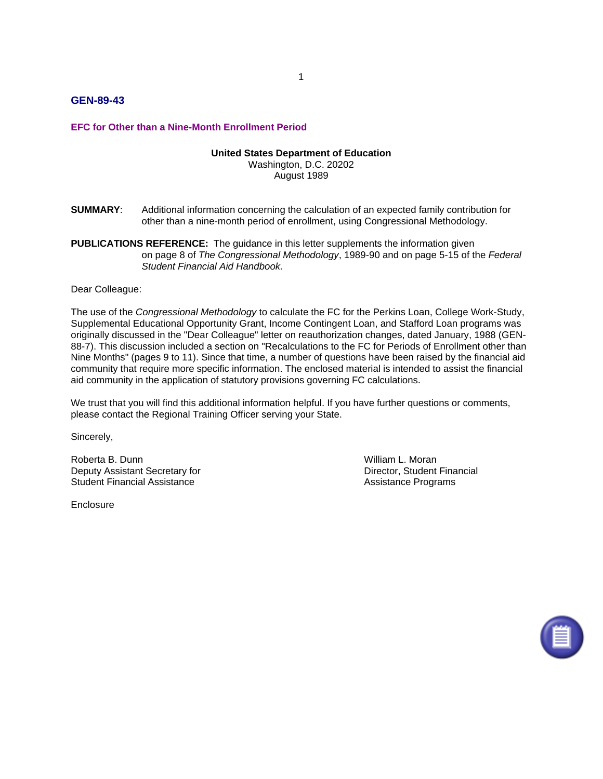# **GEN-89-43**

### **EFC for Other than a Nine-Month Enrollment Period**

#### **United States Department of Education**

Washington, D.C. 20202 August 1989

- **SUMMARY**: Additional information concerning the calculation of an expected family contribution for other than a nine-month period of enrollment, using Congressional Methodology.
- **PUBLICATIONS REFERENCE:** The guidance in this letter supplements the information given on page 8 of *The Congressional Methodology*, 1989-90 and on page 5-15 of the *Federal Student Financial Aid Handbook.*

Dear Colleague:

The use of the *Congressional Methodology* to calculate the FC for the Perkins Loan, College Work-Study, Supplemental Educational Opportunity Grant, Income Contingent Loan, and Stafford Loan programs was originally discussed in the "Dear Colleague" letter on reauthorization changes, dated January, 1988 (GEN-88-7). This discussion included a section on "Recalculations to the FC for Periods of Enrollment other than Nine Months" (pages 9 to 11). Since that time, a number of questions have been raised by the financial aid community that require more specific information. The enclosed material is intended to assist the financial aid community in the application of statutory provisions governing FC calculations.

We trust that you will find this additional information helpful. If you have further questions or comments, please contact the Regional Training Officer serving your State.

Sincerely,

Roberta B. Dunn **William L. Moran** Deputy Assistant Secretary for **Director, Student Financial** Student Financial Assistance **Assistance Assistance Programs** Assistance Programs

**Enclosure** 

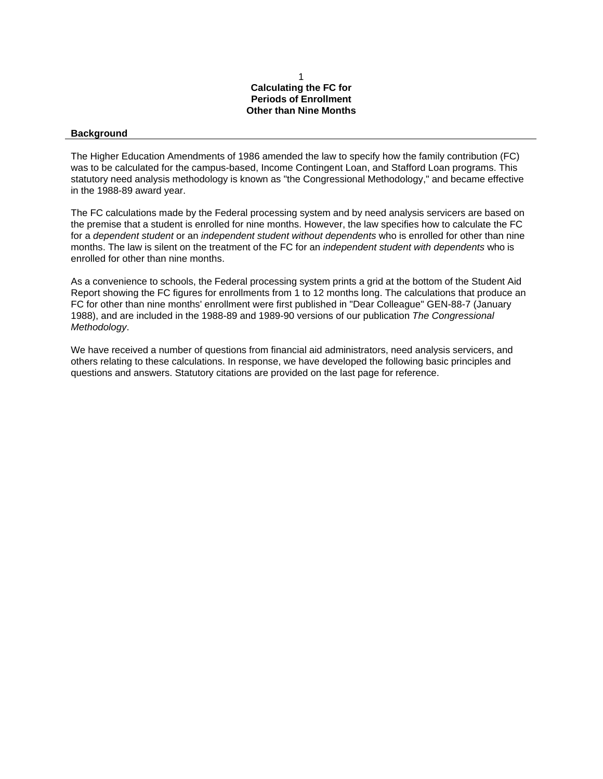#### 1 **Calculating the FC for Periods of Enrollment Other than Nine Months**

#### **Background**

The Higher Education Amendments of 1986 amended the law to specify how the family contribution (FC) was to be calculated for the campus-based, Income Contingent Loan, and Stafford Loan programs. This statutory need analysis methodology is known as "the Congressional Methodology," and became effective in the 1988-89 award year.

The FC calculations made by the Federal processing system and by need analysis servicers are based on the premise that a student is enrolled for nine months. However, the law specifies how to calculate the FC for a *dependent student* or an *independent student without dependents* who is enrolled for other than nine months. The law is silent on the treatment of the FC for an *independent student with dependents* who is enrolled for other than nine months.

As a convenience to schools, the Federal processing system prints a grid at the bottom of the Student Aid Report showing the FC figures for enrollments from 1 to 12 months long. The calculations that produce an FC for other than nine months' enrollment were first published in "Dear Colleague" GEN-88-7 (January 1988), and are included in the 1988-89 and 1989-90 versions of our publication *The Congressional Methodology*.

We have received a number of questions from financial aid administrators, need analysis servicers, and others relating to these calculations. In response, we have developed the following basic principles and questions and answers. Statutory citations are provided on the last page for reference.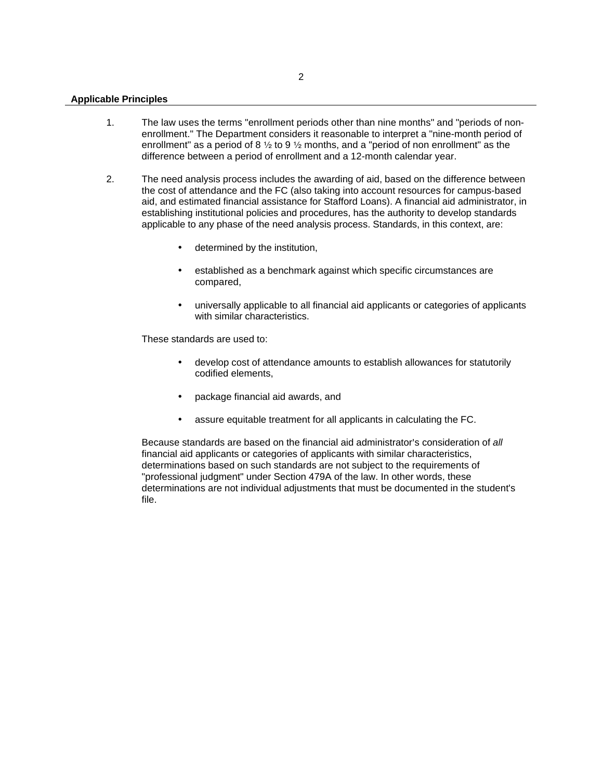#### **Applicable Principles**

- 1. The law uses the terms "enrollment periods other than nine months" and "periods of nonenrollment." The Department considers it reasonable to interpret a "nine-month period of enrollment" as a period of 8  $\frac{1}{2}$  to 9  $\frac{1}{2}$  months, and a "period of non enrollment" as the difference between a period of enrollment and a 12-month calendar year.
- 2. The need analysis process includes the awarding of aid, based on the difference between the cost of attendance and the FC (also taking into account resources for campus-based aid, and estimated financial assistance for Stafford Loans). A financial aid administrator, in establishing institutional policies and procedures, has the authority to develop standards applicable to any phase of the need analysis process. Standards, in this context, are:
	- determined by the institution,
	- established as a benchmark against which specific circumstances are compared,
	- universally applicable to all financial aid applicants or categories of applicants with similar characteristics.

These standards are used to:

- develop cost of attendance amounts to establish allowances for statutorily codified elements,
- package financial aid awards, and
- assure equitable treatment for all applicants in calculating the FC.

Because standards are based on the financial aid administrator's consideration of *all* financial aid applicants or categories of applicants with similar characteristics, determinations based on such standards are not subject to the requirements of "professional judgment" under Section 479A of the law. In other words, these determinations are not individual adjustments that must be documented in the student's file.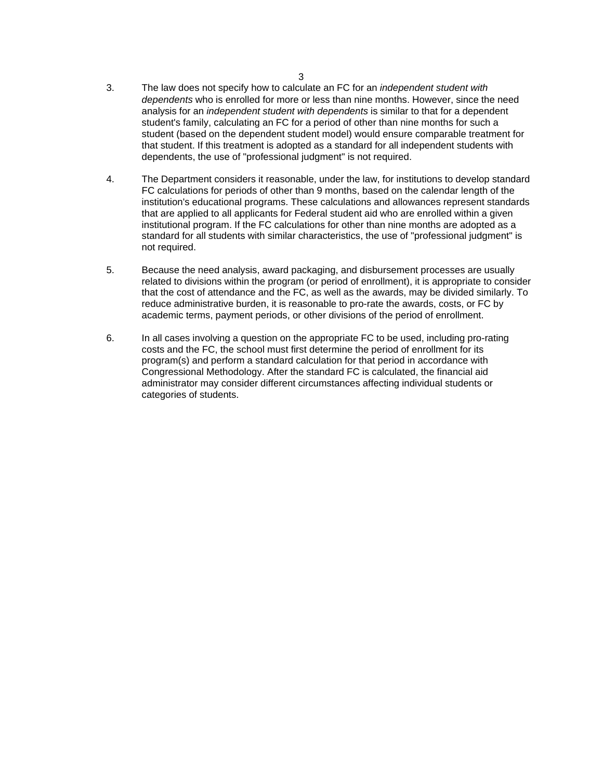- 3. The law does not specify how to calculate an FC for an *independent student with dependents* who is enrolled for more or less than nine months. However, since the need analysis for an *independent student with dependents* is similar to that for a dependent student's family, calculating an FC for a period of other than nine months for such a student (based on the dependent student model) would ensure comparable treatment for that student. If this treatment is adopted as a standard for all independent students with dependents, the use of "professional judgment" is not required.
- 4. The Department considers it reasonable, under the law, for institutions to develop standard FC calculations for periods of other than 9 months, based on the calendar length of the institution's educational programs. These calculations and allowances represent standards that are applied to all applicants for Federal student aid who are enrolled within a given institutional program. If the FC calculations for other than nine months are adopted as a standard for all students with similar characteristics, the use of "professional judgment" is not required.
- 5. Because the need analysis, award packaging, and disbursement processes are usually related to divisions within the program (or period of enrollment), it is appropriate to consider that the cost of attendance and the FC, as well as the awards, may be divided similarly. To reduce administrative burden, it is reasonable to pro-rate the awards, costs, or FC by academic terms, payment periods, or other divisions of the period of enrollment.
- 6. In all cases involving a question on the appropriate FC to be used, including pro-rating costs and the FC, the school must first determine the period of enrollment for its program(s) and perform a standard calculation for that period in accordance with Congressional Methodology. After the standard FC is calculated, the financial aid administrator may consider different circumstances affecting individual students or categories of students.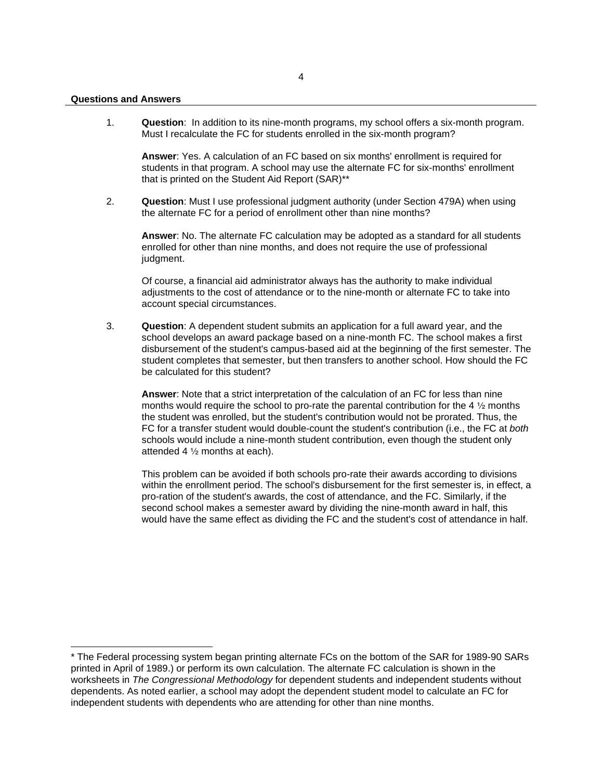1

1. **Question**: In addition to its nine-month programs, my school offers a six-month program. Must I recalculate the FC for students enrolled in the six-month program?

**Answer**: Yes. A calculation of an FC based on six months' enrollment is required for students in that program. A school may use the alternate FC for six-months' enrollment that is printed on the Student Aid Report (SAR)\*\*

2. **Question**: Must I use professional judgment authority (under Section 479A) when using the alternate FC for a period of enrollment other than nine months?

**Answer**: No. The alternate FC calculation may be adopted as a standard for all students enrolled for other than nine months, and does not require the use of professional judgment.

Of course, a financial aid administrator always has the authority to make individual adjustments to the cost of attendance or to the nine-month or alternate FC to take into account special circumstances.

3. **Question**: A dependent student submits an application for a full award year, and the school develops an award package based on a nine-month FC. The school makes a first disbursement of the student's campus-based aid at the beginning of the first semester. The student completes that semester, but then transfers to another school. How should the FC be calculated for this student?

**Answer**: Note that a strict interpretation of the calculation of an FC for less than nine months would require the school to pro-rate the parental contribution for the 4  $\frac{1}{2}$  months the student was enrolled, but the student's contribution would not be prorated. Thus, the FC for a transfer student would double-count the student's contribution (i.e., the FC at *both* schools would include a nine-month student contribution, even though the student only attended 4  $\frac{1}{2}$  months at each).

This problem can be avoided if both schools pro-rate their awards according to divisions within the enrollment period. The school's disbursement for the first semester is, in effect, a pro-ration of the student's awards, the cost of attendance, and the FC. Similarly, if the second school makes a semester award by dividing the nine-month award in half, this would have the same effect as dividing the FC and the student's cost of attendance in half.

<sup>\*</sup> The Federal processing system began printing alternate FCs on the bottom of the SAR for 1989-90 SARs printed in April of 1989.) or perform its own calculation. The alternate FC calculation is shown in the worksheets in *The Congressional Methodology* for dependent students and independent students without dependents. As noted earlier, a school may adopt the dependent student model to calculate an FC for independent students with dependents who are attending for other than nine months.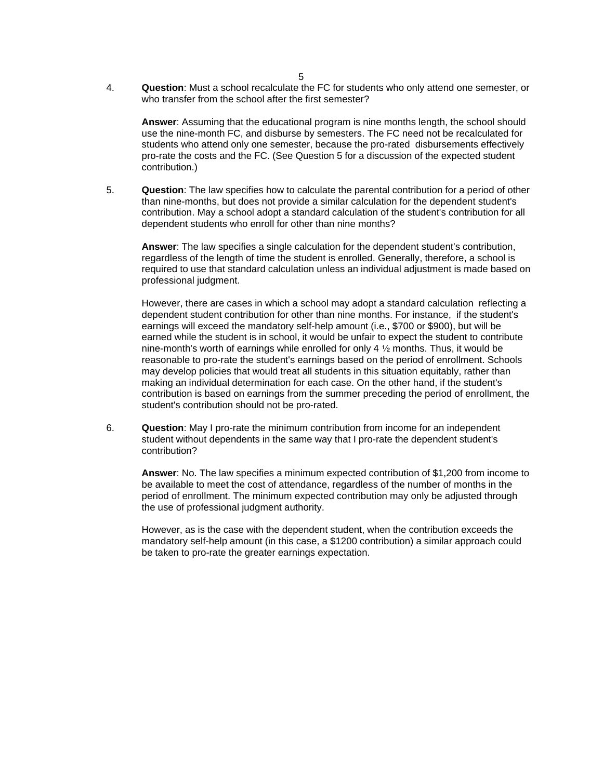4. **Question**: Must a school recalculate the FC for students who only attend one semester, or who transfer from the school after the first semester?

**Answer**: Assuming that the educational program is nine months length, the school should use the nine-month FC, and disburse by semesters. The FC need not be recalculated for students who attend only one semester, because the pro-rated disbursements effectively pro-rate the costs and the FC. (See Question 5 for a discussion of the expected student contribution.)

5. **Question**: The law specifies how to calculate the parental contribution for a period of other than nine-months, but does not provide a similar calculation for the dependent student's contribution. May a school adopt a standard calculation of the student's contribution for all dependent students who enroll for other than nine months?

**Answer**: The law specifies a single calculation for the dependent student's contribution, regardless of the length of time the student is enrolled. Generally, therefore, a school is required to use that standard calculation unless an individual adjustment is made based on professional judgment.

However, there are cases in which a school may adopt a standard calculation reflecting a dependent student contribution for other than nine months. For instance, if the student's earnings will exceed the mandatory self-help amount (i.e., \$700 or \$900), but will be earned while the student is in school, it would be unfair to expect the student to contribute nine-month's worth of earnings while enrolled for only 4  $\frac{1}{2}$  months. Thus, it would be reasonable to pro-rate the student's earnings based on the period of enrollment. Schools may develop policies that would treat all students in this situation equitably, rather than making an individual determination for each case. On the other hand, if the student's contribution is based on earnings from the summer preceding the period of enrollment, the student's contribution should not be pro-rated.

6. **Question**: May I pro-rate the minimum contribution from income for an independent student without dependents in the same way that I pro-rate the dependent student's contribution?

**Answer**: No. The law specifies a minimum expected contribution of \$1,200 from income to be available to meet the cost of attendance, regardless of the number of months in the period of enrollment. The minimum expected contribution may only be adjusted through the use of professional judgment authority.

However, as is the case with the dependent student, when the contribution exceeds the mandatory self-help amount (in this case, a \$1200 contribution) a similar approach could be taken to pro-rate the greater earnings expectation.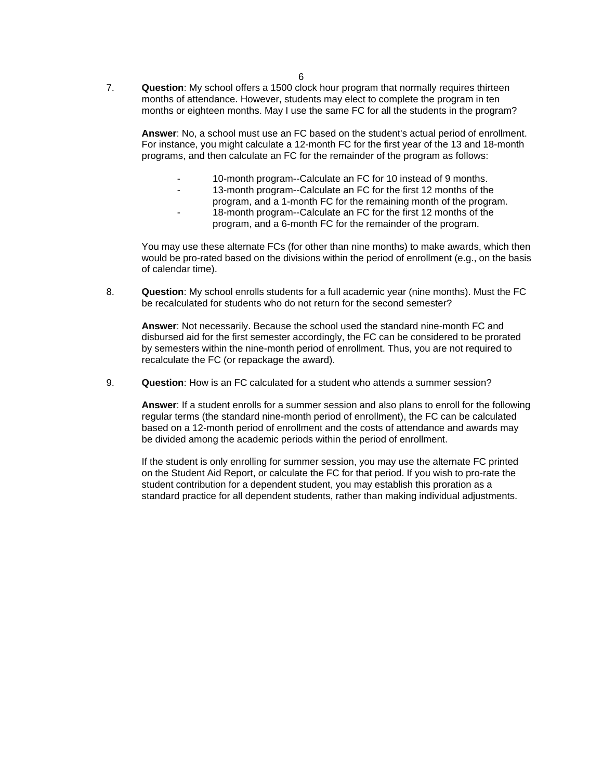7. **Question**: My school offers a 1500 clock hour program that normally requires thirteen months of attendance. However, students may elect to complete the program in ten months or eighteen months. May I use the same FC for all the students in the program?

**Answer**: No, a school must use an FC based on the student's actual period of enrollment. For instance, you might calculate a 12-month FC for the first year of the 13 and 18-month programs, and then calculate an FC for the remainder of the program as follows:

- 10-month program--Calculate an FC for 10 instead of 9 months.
- 13-month program--Calculate an FC for the first 12 months of the program, and a 1-month FC for the remaining month of the program.
- 18-month program--Calculate an FC for the first 12 months of the program, and a 6-month FC for the remainder of the program.

You may use these alternate FCs (for other than nine months) to make awards, which then would be pro-rated based on the divisions within the period of enrollment (e.g., on the basis of calendar time).

8. **Question**: My school enrolls students for a full academic year (nine months). Must the FC be recalculated for students who do not return for the second semester?

**Answer**: Not necessarily. Because the school used the standard nine-month FC and disbursed aid for the first semester accordingly, the FC can be considered to be prorated by semesters within the nine-month period of enrollment. Thus, you are not required to recalculate the FC (or repackage the award).

9. **Question**: How is an FC calculated for a student who attends a summer session?

**Answer**: If a student enrolls for a summer session and also plans to enroll for the following regular terms (the standard nine-month period of enrollment), the FC can be calculated based on a 12-month period of enrollment and the costs of attendance and awards may be divided among the academic periods within the period of enrollment.

If the student is only enrolling for summer session, you may use the alternate FC printed on the Student Aid Report, or calculate the FC for that period. If you wish to pro-rate the student contribution for a dependent student, you may establish this proration as a standard practice for all dependent students, rather than making individual adjustments.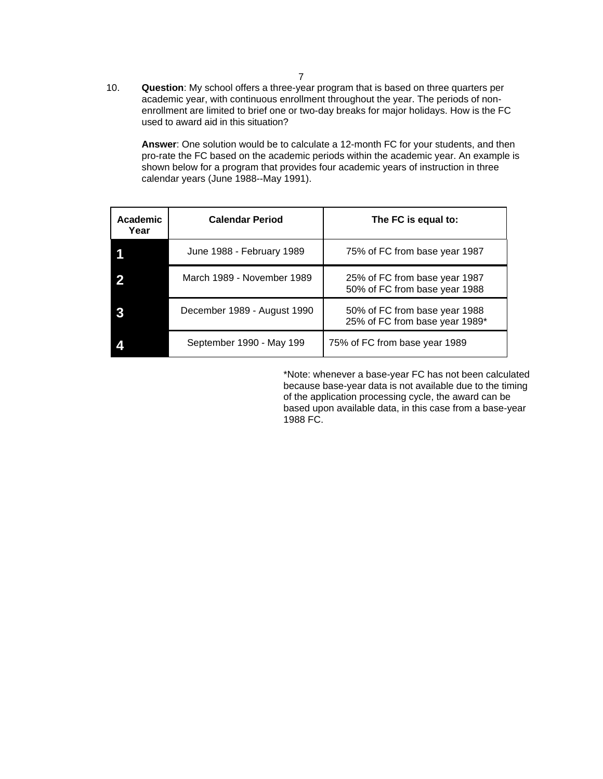10. **Question**: My school offers a three-year program that is based on three quarters per academic year, with continuous enrollment throughout the year. The periods of nonenrollment are limited to brief one or two-day breaks for major holidays. How is the FC used to award aid in this situation?

**Answer**: One solution would be to calculate a 12-month FC for your students, and then pro-rate the FC based on the academic periods within the academic year. An example is shown below for a program that provides four academic years of instruction in three calendar years (June 1988--May 1991).

| Academic<br>Year | <b>Calendar Period</b>      | The FC is equal to:                                             |
|------------------|-----------------------------|-----------------------------------------------------------------|
|                  | June 1988 - February 1989   | 75% of FC from base year 1987                                   |
|                  | March 1989 - November 1989  | 25% of FC from base year 1987<br>50% of FC from base year 1988  |
|                  | December 1989 - August 1990 | 50% of FC from base year 1988<br>25% of FC from base year 1989* |
|                  | September 1990 - May 199    | 75% of FC from base year 1989                                   |

\*Note: whenever a base-year FC has not been calculated because base-year data is not available due to the timing of the application processing cycle, the award can be based upon available data, in this case from a base-year 1988 FC.